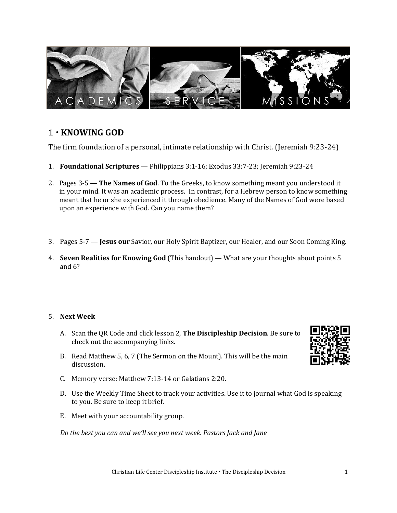

# 1 **KNOWING GOD**

The firm foundation of a personal, intimate relationship with Christ. (Jeremiah 9:23-24)

- 1. **Foundational Scriptures**  Philippians 3:1-16; Exodus 33:7-23; Jeremiah 9:23-24
- 2. Pages 3-5 **The Names of God**. To the Greeks, to know something meant you understood it in your mind. It was an academic process. In contrast, for a Hebrew person to know something meant that he or she experienced it through obedience. Many of the Names of God were based upon an experience with God. Can you name them?
- 3. Pages 5-7 **Jesus our** Savior, our Holy Spirit Baptizer, our Healer, and our Soon Coming King.
- 4. **Seven Realities for Knowing God** (This handout) What are your thoughts about points 5 and 6?

## 5. **Next Week**

- A. Scan the QR Code and click lesson 2, **The Discipleship Decision**. Be sure to check out the accompanying links.
- B. Read Matthew 5, 6, 7 (The Sermon on the Mount). This will be the main discussion.
- C. Memory verse: Matthew 7:13-14 or Galatians 2:20.
- D. Use the Weekly Time Sheet to track your activities. Use it to journal what God is speaking to you. Be sure to keep it brief.
- E. Meet with your accountability group.

*Do the best you can and we'll see you next week. Pastors Jack and Jane*

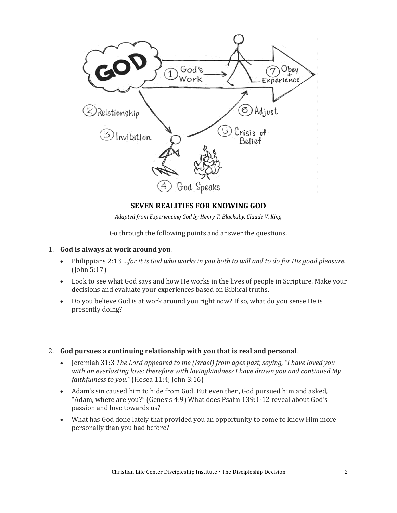

## **SEVEN REALITIES FOR KNOWING GOD**

*Adapted from Experiencing God by Henry T. Blackaby, Claude V. King*

Go through the following points and answer the questions.

- 1. **God is always at work around you**.
	- Philippians 2:13 *…for it is God who works in you both to will and to do for His good pleasure.*  (John 5:17)
	- Look to see what God says and how He works in the lives of people in Scripture. Make your decisions and evaluate your experiences based on Biblical truths.
	- Do you believe God is at work around you right now? If so, what do you sense He is presently doing?
- 2. **God pursues a continuing relationship with you that is real and personal**.
	- Jeremiah 31:3 *The Lord appeared to me (Israel) from ages past, saying, "I have loved you with an everlasting love; therefore with lovingkindness I have drawn you and continued My faithfulness to you."* (Hosea 11:4; John 3:16)
	- Adam's sin caused him to hide from God. But even then, God pursued him and asked, "Adam, where are you?" (Genesis 4:9) What does Psalm 139:1-12 reveal about God's passion and love towards us?
	- What has God done lately that provided you an opportunity to come to know Him more personally than you had before?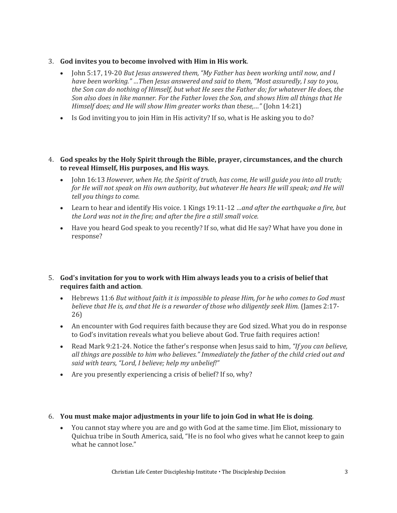- 3. **God invites you to become involved with Him in His work**.
	- John 5:17, 19-20 *But Jesus answered them, "My Father has been working until now, and I have been working." …Then Jesus answered and said to them, "Most assuredly, I say to you, the Son can do nothing of Himself, but what He sees the Father do; for whatever He does, the Son also does in like manner. For the Father loves the Son, and shows Him all things that He Himself does; and He will show Him greater works than these,…"* (John 14:21)
	- Is God inviting you to join Him in His activity? If so, what is He asking you to do?
- 4. **God speaks by the Holy Spirit through the Bible, prayer, circumstances, and the church to reveal Himself, His purposes, and His ways**.
	- John 16:13 *However, when He, the Spirit of truth, has come, He will guide you into all truth; for He will not speak on His own authority, but whatever He hears He will speak; and He will tell you things to come.*
	- Learn to hear and identify His voice. 1 Kings 19:11-12 *…and after the earthquake a fire, but the Lord was not in the fire; and after the fire a still small voice.*
	- Have you heard God speak to you recently? If so, what did He say? What have you done in response?

## 5. **God's invitation for you to work with Him always leads you to a crisis of belief that requires faith and action**.

- Hebrews 11:6 *But without faith it is impossible to please Him, for he who comes to God must*  believe that He is, and that He is a rewarder of those who diligently seek Him. (James 2:17-26)
- An encounter with God requires faith because they are God sized. What you do in response to God's invitation reveals what you believe about God. True faith requires action!
- Read Mark 9:21-24. Notice the father's response when Jesus said to him, *"If you can believe, all things are possible to him who believes." Immediately the father of the child cried out and said with tears, "Lord, I believe; help my unbelief!"*
- Are you presently experiencing a crisis of belief? If so, why?

#### 6. **You must make major adjustments in your life to join God in what He is doing**.

• You cannot stay where you are and go with God at the same time. Jim Eliot, missionary to Quichua tribe in South America, said, "He is no fool who gives what he cannot keep to gain what he cannot lose."